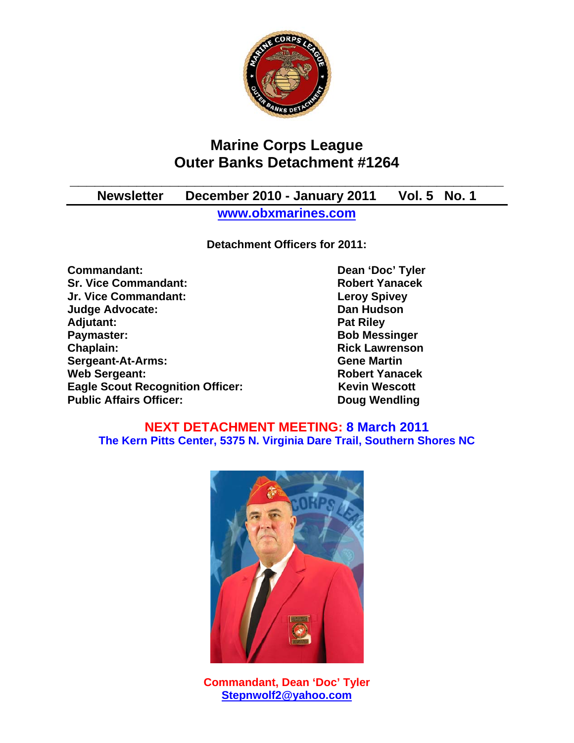

# **Marine Corps League Outer Banks Detachment #1264**

**\_\_\_\_\_\_\_\_\_\_\_\_\_\_\_\_\_\_\_\_\_\_\_\_\_\_\_\_\_\_\_\_\_\_\_\_\_\_\_\_\_\_\_\_\_\_\_\_\_\_\_\_** 

## **Newsletter December 2010 - January 2011 Vol. 5 No. 1 www.obxmarines.com**

**Detachment Officers for 2011:** 

**Commandant:** Dean 'Doc' Tyler **Sr. Vice Commandant:** Robert Yanacek **Jr. Vice Commandant: Leroy Spivey Judge Advocate: Dan Hudson**  Adjutant: **Pat Riley Adjutant:** Pat Riley **Pat Riley Paymaster:** Bob Messinger **Chaplain: Chaplain: Rick Lawrenson Sergeant-At-Arms:** Gene Martin **Gene Martin** Web Sergeant: **Robert Yanacek Robert Yanacek Eagle Scout Recognition Officer:** Kevin Wescott **Public Affairs Officer:** Doug Wendling

### **NEXT DETACHMENT MEETING: 8 March 2011 The Kern Pitts Center, 5375 N. Virginia Dare Trail, Southern Shores NC**



**Commandant, Dean 'Doc' Tyler Stepnwolf2@yahoo.com**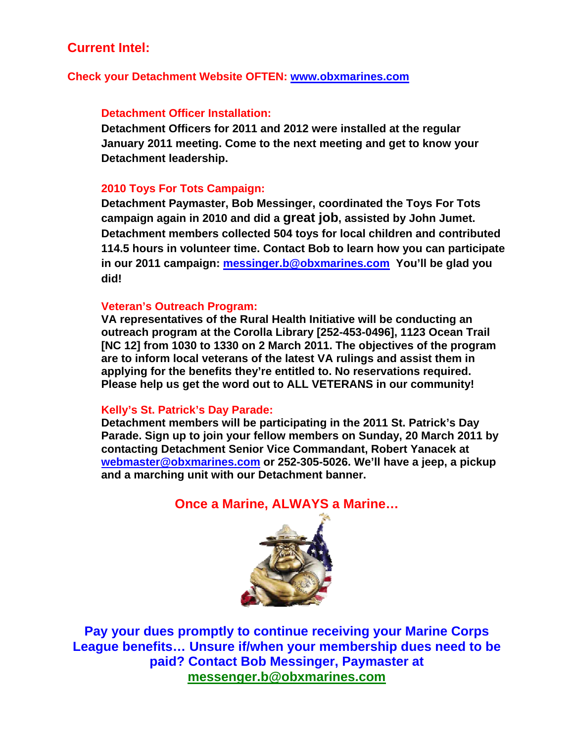## **Current Intel:**

#### **Check your Detachment Website OFTEN: www.obxmarines.com**

#### **Detachment Officer Installation:**

**Detachment Officers for 2011 and 2012 were installed at the regular January 2011 meeting. Come to the next meeting and get to know your Detachment leadership.** 

#### **2010 Toys For Tots Campaign:**

**Detachment Paymaster, Bob Messinger, coordinated the Toys For Tots campaign again in 2010 and did a great job, assisted by John Jumet. Detachment members collected 504 toys for local children and contributed 114.5 hours in volunteer time. Contact Bob to learn how you can participate in our 2011 campaign: messinger.b@obxmarines.com You'll be glad you did!** 

#### **Veteran's Outreach Program:**

**VA representatives of the Rural Health Initiative will be conducting an outreach program at the Corolla Library [252-453-0496], 1123 Ocean Trail [NC 12] from 1030 to 1330 on 2 March 2011. The objectives of the program are to inform local veterans of the latest VA rulings and assist them in applying for the benefits they're entitled to. No reservations required. Please help us get the word out to ALL VETERANS in our community!** 

#### **Kelly's St. Patrick's Day Parade:**

**Detachment members will be participating in the 2011 St. Patrick's Day Parade. Sign up to join your fellow members on Sunday, 20 March 2011 by contacting Detachment Senior Vice Commandant, Robert Yanacek at webmaster@obxmarines.com or 252-305-5026. We'll have a jeep, a pickup and a marching unit with our Detachment banner.** 

### **Once a Marine, ALWAYS a Marine…**



**Pay your dues promptly to continue receiving your Marine Corps League benefits… Unsure if/when your membership dues need to be paid? Contact Bob Messinger, Paymaster at messenger.b@obxmarines.com**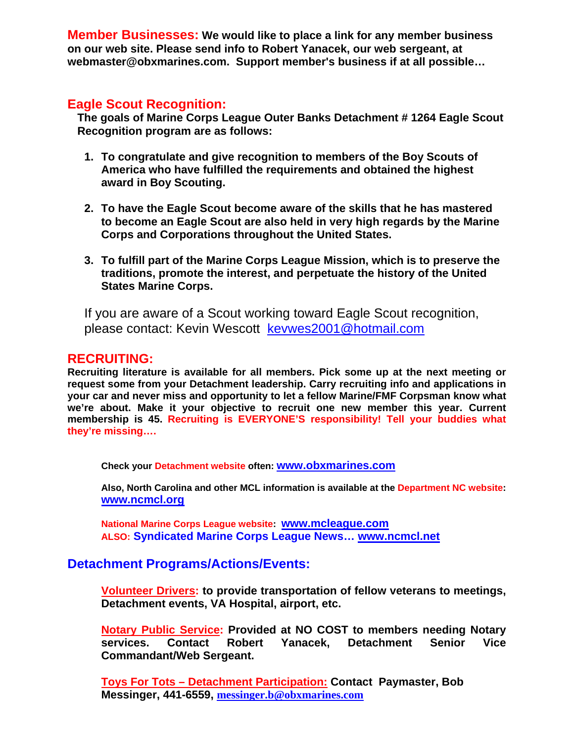**Member Businesses: We would like to place a link for any member business on our web site. Please send info to Robert Yanacek, our web sergeant, at webmaster@obxmarines.com. Support member's business if at all possible…** 

## **Eagle Scout Recognition:**

**The goals of Marine Corps League Outer Banks Detachment # 1264 Eagle Scout Recognition program are as follows:** 

- **1. To congratulate and give recognition to members of the Boy Scouts of America who have fulfilled the requirements and obtained the highest award in Boy Scouting.**
- **2. To have the Eagle Scout become aware of the skills that he has mastered to become an Eagle Scout are also held in very high regards by the Marine Corps and Corporations throughout the United States.**
- **3. To fulfill part of the Marine Corps League Mission, which is to preserve the traditions, promote the interest, and perpetuate the history of the United States Marine Corps.**

If you are aware of a Scout working toward Eagle Scout recognition, please contact: Kevin Wescott kevwes2001@hotmail.com

#### **RECRUITING:**

**Recruiting literature is available for all members. Pick some up at the next meeting or request some from your Detachment leadership. Carry recruiting info and applications in your car and never miss and opportunity to let a fellow Marine/FMF Corpsman know what we're about. Make it your objective to recruit one new member this year. Current membership is 45. Recruiting is EVERYONE'S responsibility! Tell your buddies what they're missing….** 

**Check your Detachment website often: www.obxmarines.com**

**Also, North Carolina and other MCL information is available at the Department NC website: www.ncmcl.org** 

**National Marine Corps League website: www.mcleague.com ALSO: Syndicated Marine Corps League News… www.ncmcl.net** 

### **Detachment Programs/Actions/Events:**

**Volunteer Drivers: to provide transportation of fellow veterans to meetings, Detachment events, VA Hospital, airport, etc.** 

**Notary Public Service: Provided at NO COST to members needing Notary services. Contact Robert Yanacek, Detachment Senior Vice Commandant/Web Sergeant.** 

**Toys For Tots – Detachment Participation: Contact Paymaster, Bob Messinger, 441-6559, messinger.b@obxmarines.com**